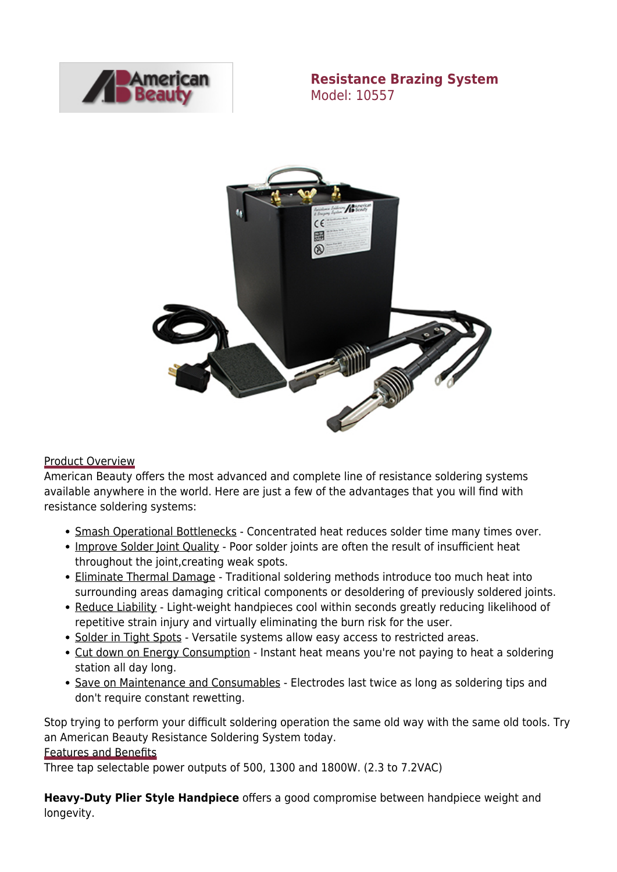

**Resistance Brazing System** Model: 10557



#### Product Overview

American Beauty offers the most advanced and complete line of resistance soldering systems available anywhere in the world. Here are just a few of the advantages that you will find with resistance soldering systems:

- Smash Operational Bottlenecks Concentrated heat reduces solder time many times over.
- Improve Solder Joint Quality Poor solder joints are often the result of insufficient heat throughout the joint,creating weak spots.
- Eliminate Thermal Damage Traditional soldering methods introduce too much heat into surrounding areas damaging critical components or desoldering of previously soldered joints.
- Reduce Liability Light-weight handpieces cool within seconds greatly reducing likelihood of repetitive strain injury and virtually eliminating the burn risk for the user.
- Solder in Tight Spots Versatile systems allow easy access to restricted areas.
- Cut down on Energy Consumption Instant heat means you're not paying to heat a soldering station all day long.
- Save on Maintenance and Consumables Electrodes last twice as long as soldering tips and don't require constant rewetting.

Stop trying to perform your difficult soldering operation the same old way with the same old tools. Try an American Beauty Resistance Soldering System today.

#### Features and Benefits

Three tap selectable power outputs of 500, 1300 and 1800W. (2.3 to 7.2VAC)

**Heavy-Duty Plier Style Handpiece** offers a good compromise between handpiece weight and longevity.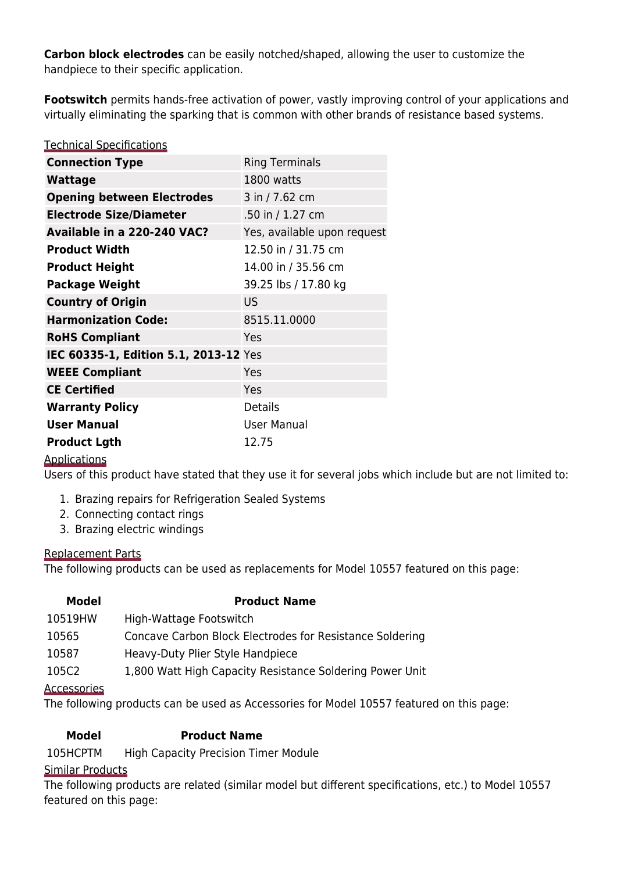**Carbon block electrodes** can be easily notched/shaped, allowing the user to customize the handpiece to their specific application.

**Footswitch** permits hands-free activation of power, vastly improving control of your applications and virtually eliminating the sparking that is common with other brands of resistance based systems.

| <b>Technical Specifications</b>       |                             |
|---------------------------------------|-----------------------------|
| <b>Connection Type</b>                | <b>Ring Terminals</b>       |
| <b>Wattage</b>                        | 1800 watts                  |
| <b>Opening between Electrodes</b>     | 3 in / 7.62 cm              |
| <b>Electrode Size/Diameter</b>        | .50 in / 1.27 cm            |
| Available in a 220-240 VAC?           | Yes, available upon request |
| <b>Product Width</b>                  | 12.50 in / 31.75 cm         |
| <b>Product Height</b>                 | 14.00 in / 35.56 cm         |
| <b>Package Weight</b>                 | 39.25 lbs / 17.80 kg        |
| <b>Country of Origin</b>              | US.                         |
| <b>Harmonization Code:</b>            | 8515.11.0000                |
| <b>RoHS Compliant</b>                 | Yes                         |
| IEC 60335-1, Edition 5.1, 2013-12 Yes |                             |
| <b>WEEE Compliant</b>                 | Yes                         |
| <b>CE Certified</b>                   | Yes                         |
| <b>Warranty Policy</b>                | Details                     |
| <b>User Manual</b>                    | <b>User Manual</b>          |
| <b>Product Lgth</b>                   | 12.75                       |

## Applications

Users of this product have stated that they use it for several jobs which include but are not limited to:

- 1. Brazing repairs for Refrigeration Sealed Systems
- 2. Connecting contact rings
- 3. Brazing electric windings

#### Replacement Parts

The following products can be used as replacements for Model 10557 featured on this page:

| Model   | <b>Product Name</b>                                      |
|---------|----------------------------------------------------------|
| 10519HW | High-Wattage Footswitch                                  |
| 10565   | Concave Carbon Block Electrodes for Resistance Soldering |

- [10587](https://americanbeautytools.com/Resistance-Handpieces/130) [Heavy-Duty Plier Style Handpiece](https://americanbeautytools.com/Resistance-Handpieces/130)
- [105C2](https://americanbeautytools.com/Resistance-Power-Units/120) [1,800 Watt High Capacity Resistance Soldering Power Unit](https://americanbeautytools.com/Resistance-Power-Units/120)

#### **Accessories**

The following products can be used as Accessories for Model 10557 featured on this page:

## **Model Product Name**

[105HCPTM](https://americanbeautytools.com/Resistance-Accessories/204) [High Capacity Precision Timer Module](https://americanbeautytools.com/Resistance-Accessories/204)

#### Similar Products

The following products are related (similar model but different specifications, etc.) to Model 10557 featured on this page: